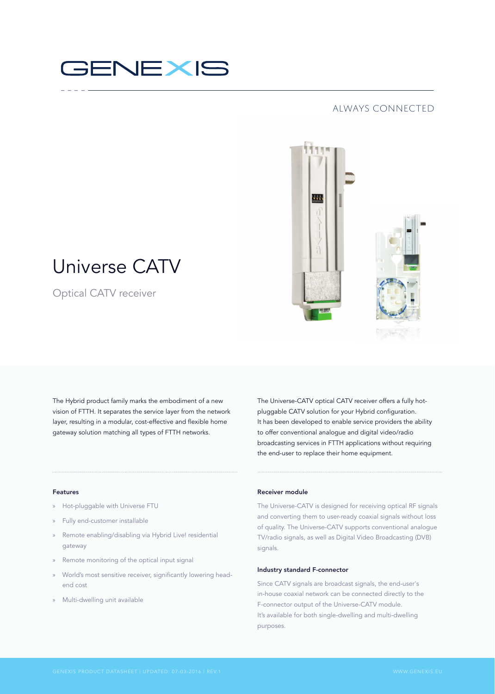# GENEXIS

## always connected



# Universe CATV

Optical CATV receiver

The Hybrid product family marks the embodiment of a new vision of FTTH. It separates the service layer from the network layer, resulting in a modular, cost-effective and flexible home gateway solution matching all types of FTTH networks.

The Universe-CATV optical CATV receiver offers a fully hotpluggable CATV solution for your Hybrid configuration. It has been developed to enable service providers the ability to offer conventional analogue and digital video/radio broadcasting services in FTTH applications without requiring the end-user to replace their home equipment.

### Features

- » Hot-pluggable with Universe FTU
- » Fully end-customer installable
- » Remote enabling/disabling via Hybrid Live! residential gateway
- » Remote monitoring of the optical input signal
- » World's most sensitive receiver, significantly lowering headend cost
- » Multi-dwelling unit available

#### Receiver module

The Universe-CATV is designed for receiving optical RF signals and converting them to user-ready coaxial signals without loss of quality. The Universe-CATV supports conventional analogue TV/radio signals, as well as Digital Video Broadcasting (DVB) signals.

### Industry standard F-connector

Since CATV signals are broadcast signals, the end-user's in-house coaxial network can be connected directly to the F-connector output of the Universe-CATV module. It's available for both single-dwelling and multi-dwelling purposes.